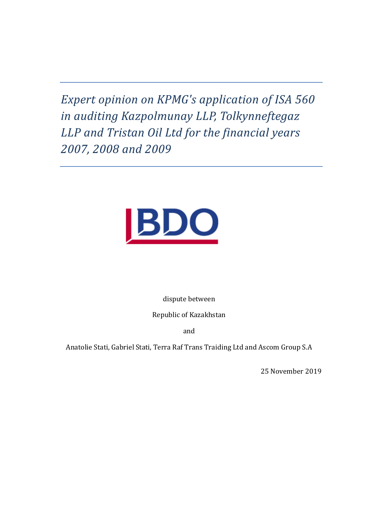Expert opinion on KPMG's application of ISA 560 in auditing Kazpolmunay LLP, Tolkynneftegaz LLP and Tristan Oil Ltd for the financial years 2007, 2008 and 2009



dispute between

Republic of Kazakhstan

and

Anatolie Stati, Gabriel Stati, Terra Raf Trans Traiding Ltd and Ascom Group S.A

25 November 2019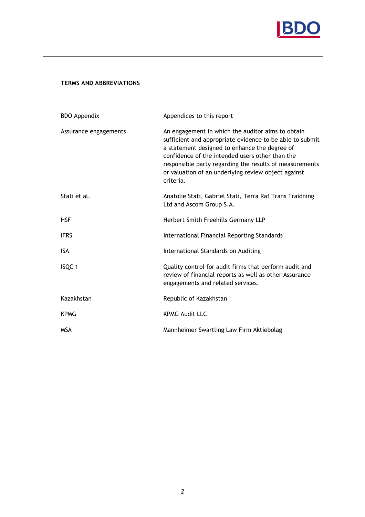

## TERMS AND ABBREVIATIONS

| <b>BDO Appendix</b>   | Appendices to this report                                                                                                                                                                                                                                                                                                                        |
|-----------------------|--------------------------------------------------------------------------------------------------------------------------------------------------------------------------------------------------------------------------------------------------------------------------------------------------------------------------------------------------|
| Assurance engagements | An engagement in which the auditor aims to obtain<br>sufficient and appropriate evidence to be able to submit<br>a statement designed to enhance the degree of<br>confidence of the intended users other than the<br>responsible party regarding the results of measurements<br>or valuation of an underlying review object against<br>criteria. |
| Stati et al.          | Anatolie Stati, Gabriel Stati, Terra Raf Trans Traidning<br>Ltd and Ascom Group S.A.                                                                                                                                                                                                                                                             |
| <b>HSF</b>            | Herbert Smith Freehills Germany LLP                                                                                                                                                                                                                                                                                                              |
| <b>IFRS</b>           | International Financial Reporting Standards                                                                                                                                                                                                                                                                                                      |
| <b>ISA</b>            | International Standards on Auditing                                                                                                                                                                                                                                                                                                              |
| ISQC 1                | Quality control for audit firms that perform audit and<br>review of financial reports as well as other Assurance<br>engagements and related services.                                                                                                                                                                                            |
| Kazakhstan            | Republic of Kazakhstan                                                                                                                                                                                                                                                                                                                           |
| <b>KPMG</b>           | <b>KPMG Audit LLC</b>                                                                                                                                                                                                                                                                                                                            |
| <b>MSA</b>            | Mannheimer Swartling Law Firm Aktiebolag                                                                                                                                                                                                                                                                                                         |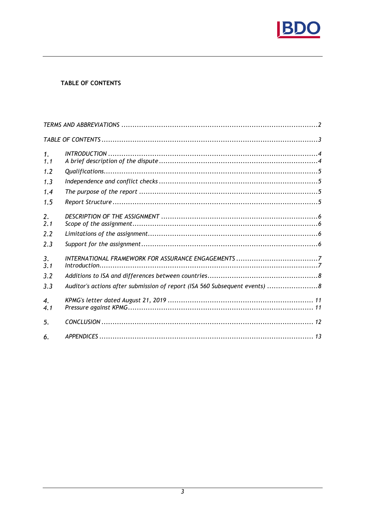

# TABLE OF CONTENTS

| 1.<br>1.1               |                                                                             |  |
|-------------------------|-----------------------------------------------------------------------------|--|
| 1.2                     |                                                                             |  |
| 1.3                     |                                                                             |  |
| 1.4                     |                                                                             |  |
| 1.5                     |                                                                             |  |
| $\overline{2}$ .<br>2.1 |                                                                             |  |
| 2.2                     |                                                                             |  |
| 2.3                     |                                                                             |  |
| 3.<br>3.1               |                                                                             |  |
| 3.2                     |                                                                             |  |
| 3.3                     | Auditor's actions after submission of report (ISA 560 Subsequent events)  8 |  |
| 4.<br>4.1               |                                                                             |  |
| 5.                      |                                                                             |  |
| 6.                      |                                                                             |  |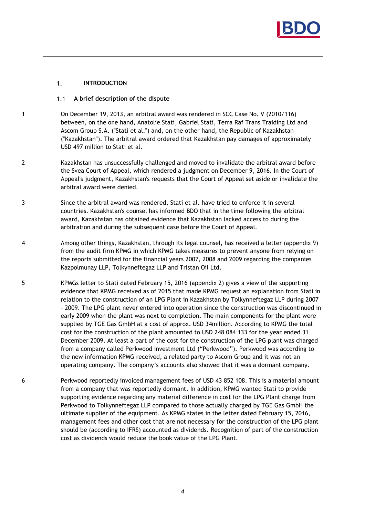

#### $1<sub>1</sub>$ INTRODUCTION

#### A brief description of the dispute  $1.1$

- 1 On December 19, 2013, an arbitral award was rendered in SCC Case No. V (2010/116) between, on the one hand, Anatolie Stati, Gabriel Stati, Terra Raf Trans Traiding Ltd and Ascom Group S.A. ("Stati et al.") and, on the other hand, the Republic of Kazakhstan ("Kazakhstan"). The arbitral award ordered that Kazakhstan pay damages of approximately USD 497 million to Stati et al.
- 2 Kazakhstan has unsuccessfully challenged and moved to invalidate the arbitral award before the Svea Court of Appeal, which rendered a judgment on December 9, 2016. In the Court of Appeal's judgment, Kazakhstan's requests that the Court of Appeal set aside or invalidate the arbitral award were denied.
- 3 Since the arbitral award was rendered, Stati et al. have tried to enforce it in several countries. Kazakhstan's counsel has informed BDO that in the time following the arbitral award, Kazakhstan has obtained evidence that Kazakhstan lacked access to during the arbitration and during the subsequent case before the Court of Appeal.
- 4 Among other things, Kazakhstan, through its legal counsel, has received a letter (appendix 9) from the audit firm KPMG in which KPMG takes measures to prevent anyone from relying on the reports submitted for the financial years 2007, 2008 and 2009 regarding the companies Kazpolmunay LLP, Tolkynneftegaz LLP and Tristan Oil Ltd.
- 5 KPMGs letter to Stati dated February 15, 2016 (appendix 2) gives a view of the supporting evidence that KPMG received as of 2015 that made KPMG request an explanation from Stati in relation to the construction of an LPG Plant in Kazakhstan by Tolkynneftegaz LLP during 2007 – 2009. The LPG plant never entered into operation since the construction was discontinued in early 2009 when the plant was next to completion. The main components for the plant were supplied by TGE Gas GmbH at a cost of approx. USD 34million. According to KPMG the total cost for the construction of the plant amounted to USD 248 084 133 for the year ended 31 December 2009. At least a part of the cost for the construction of the LPG plant was charged from a company called Perkwood Investment Ltd ("Perkwood"). Perkwood was according to the new information KPMG received, a related party to Ascom Group and it was not an operating company. The company's accounts also showed that it was a dormant company.
- 6 Perkwood reportedly invoiced management fees of USD 43 852 108. This is a material amount from a company that was reportedly dormant. In addition, KPMG wanted Stati to provide supporting evidence regarding any material difference in cost for the LPG Plant charge from Perkwood to Tolkynneftegaz LLP compared to those actually charged by TGE Gas GmbH the ultimate supplier of the equipment. As KPMG states in the letter dated February 15, 2016, management fees and other cost that are not necessary for the construction of the LPG plant should be (according to IFRS) accounted as dividends. Recognition of part of the construction cost as dividends would reduce the book value of the LPG Plant.

4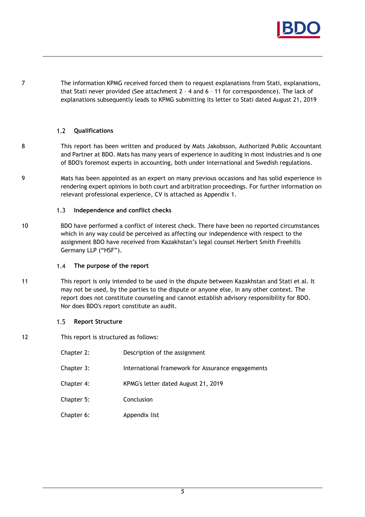

7 The information KPMG received forced them to request explanations from Stati, explanations, that Stati never provided (See attachment 2 – 4 and 6 – 11 for correspondence). The lack of explanations subsequently leads to KPMG submitting its letter to Stati dated August 21, 2019

#### $1.2$ Qualifications

- 8 This report has been written and produced by Mats Jakobsson, Authorized Public Accountant and Partner at BDO. Mats has many years of experience in auditing in most industries and is one of BDO's foremost experts in accounting, both under international and Swedish regulations.
- 9 Mats has been appointed as an expert on many previous occasions and has solid experience in rendering expert opinions in both court and arbitration proceedings. For further information on relevant professional experience, CV is attached as Appendix 1.

#### $1.3$ Independence and conflict checks

10 BDO have performed a conflict of interest check. There have been no reported circumstances which in any way could be perceived as affecting our independence with respect to the assignment BDO have received from Kazakhstan's legal counsel Herbert Smith Freehills Germany LLP ("HSF").

#### $1.4$ The purpose of the report

11 This report is only intended to be used in the dispute between Kazakhstan and Stati et al. It may not be used, by the parties to the dispute or anyone else, in any other context. The report does not constitute counseling and cannot establish advisory responsibility for BDO. Nor does BDO's report constitute an audit.

#### Report Structure  $1.5$

12 This report is structured as follows:

| Chapter 2: | Description of the assignment                     |
|------------|---------------------------------------------------|
| Chapter 3: | International framework for Assurance engagements |
| Chapter 4: | KPMG's letter dated August 21, 2019               |
| Chapter 5: | Conclusion                                        |
| Chapter 6: | Appendix list                                     |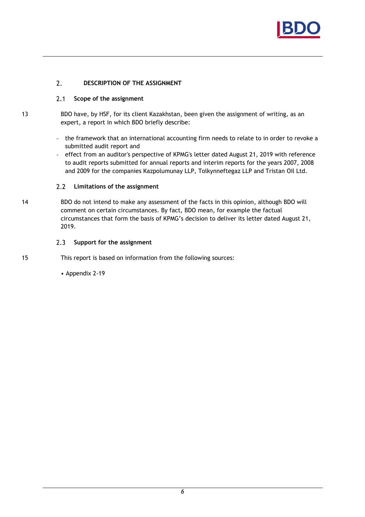

#### $2.$ DESCRIPTION OF THE ASSIGNMENT

#### $2.1$ Scope of the assignment

13 BDO have, by HSF, for its client Kazakhstan, been given the assignment of writing, as an expert, a report in which BDO briefly describe:

- the framework that an international accounting firm needs to relate to in order to revoke a submitted audit report and
- effect from an auditor's perspective of KPMG's letter dated August 21, 2019 with reference to audit reports submitted for annual reports and interim reports for the years 2007, 2008 and 2009 for the companies Kazpolumunay LLP, Tolkynneftegaz LLP and Tristan Oil Ltd.

#### $2.2$ Limitations of the assignment

14 BDO do not intend to make any assessment of the facts in this opinion, although BDO will comment on certain circumstances. By fact, BDO mean, for example the factual circumstances that form the basis of KPMG's decision to deliver its letter dated August 21, 2019.

#### $2.3$ Support for the assignment

15 This report is based on information from the following sources:

• Appendix 2-19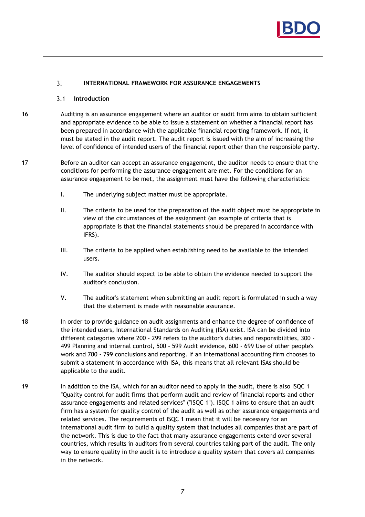

#### $3<sub>1</sub>$ INTERNATIONAL FRAMEWORK FOR ASSURANCE ENGAGEMENTS

#### $3.1$ Introduction

- 16 Auditing is an assurance engagement where an auditor or audit firm aims to obtain sufficient and appropriate evidence to be able to issue a statement on whether a financial report has been prepared in accordance with the applicable financial reporting framework. If not, it must be stated in the audit report. The audit report is issued with the aim of increasing the level of confidence of intended users of the financial report other than the responsible party.
- 17 Before an auditor can accept an assurance engagement, the auditor needs to ensure that the conditions for performing the assurance engagement are met. For the conditions for an assurance engagement to be met, the assignment must have the following characteristics:
	- I. The underlying subject matter must be appropriate.
	- II. The criteria to be used for the preparation of the audit object must be appropriate in view of the circumstances of the assignment (an example of criteria that is appropriate is that the financial statements should be prepared in accordance with IFRS).
	- III. The criteria to be applied when establishing need to be available to the intended users.
	- IV. The auditor should expect to be able to obtain the evidence needed to support the auditor's conclusion.
	- V. The auditor's statement when submitting an audit report is formulated in such a way that the statement is made with reasonable assurance.
- 18 In order to provide guidance on audit assignments and enhance the degree of confidence of the intended users, International Standards on Auditing (ISA) exist. ISA can be divided into different categories where 200 - 299 refers to the auditor's duties and responsibilities, 300 - 499 Planning and internal control, 500 - 599 Audit evidence, 600 - 699 Use of other people's work and 700 - 799 conclusions and reporting. If an international accounting firm chooses to submit a statement in accordance with ISA, this means that all relevant ISAs should be applicable to the audit.
- 19 In addition to the ISA, which for an auditor need to apply in the audit, there is also ISQC 1 "Quality control for audit firms that perform audit and review of financial reports and other assurance engagements and related services" ("ISQC 1"). ISQC 1 aims to ensure that an audit firm has a system for quality control of the audit as well as other assurance engagements and related services. The requirements of ISQC 1 mean that it will be necessary for an international audit firm to build a quality system that includes all companies that are part of the network. This is due to the fact that many assurance engagements extend over several countries, which results in auditors from several countries taking part of the audit. The only way to ensure quality in the audit is to introduce a quality system that covers all companies in the network.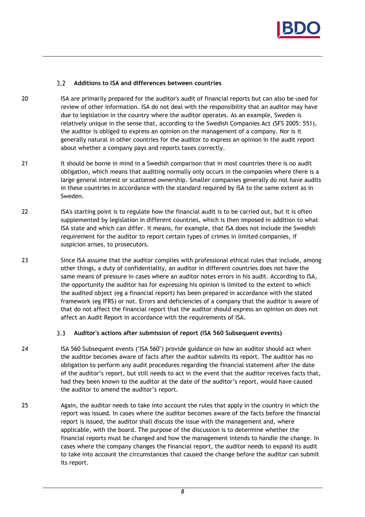

#### $3.2$ Additions to ISA and differences between countries

- 20 ISA are primarily prepared for the auditor's audit of financial reports but can also be used for review of other information. ISA do not deal with the responsibility that an auditor may have due to legislation in the country where the auditor operates. As an example, Sweden is relatively unique in the sense that, according to the Swedish Companies Act (SFS 2005: 551), the auditor is obliged to express an opinion on the management of a company. Nor is it generally natural in other countries for the auditor to express an opinion in the audit report about whether a company pays and reports taxes correctly.
- 21 It should be borne in mind in a Swedish comparison that in most countries there is no audit obligation, which means that auditing normally only occurs in the companies where there is a large general interest or scattered ownership. Smaller companies generally do not have audits in these countries in accordance with the standard required by ISA to the same extent as in Sweden.
- 22 ISA's starting point is to regulate how the financial audit is to be carried out, but it is often supplemented by legislation in different countries, which is then imposed in addition to what ISA state and which can differ. It means, for example, that ISA does not include the Swedish requirement for the auditor to report certain types of crimes in limited companies, if suspicion arises, to prosecutors.
- 23 Since ISA assume that the auditor complies with professional ethical rules that include, among other things, a duty of confidentiality, an auditor in different countries does not have the same means of pressure in cases where an auditor notes errors in his audit. According to ISA, the opportunity the auditor has for expressing his opinion is limited to the extent to which the audited object (eg a financial report) has been prepared in accordance with the stated framework (eg IFRS) or not. Errors and deficiencies of a company that the auditor is aware of that do not affect the financial report that the auditor should express an opinion on does not affect an Audit Report in accordance with the requirements of ISA.

#### $3.3$ Auditor's actions after submission of report (ISA 560 Subsequent events)

- 24 ISA 560 Subsequent events ("ISA 560") provide guidance on how an auditor should act when the auditor becomes aware of facts after the auditor submits its report. The auditor has no obligation to perform any audit procedures regarding the financial statement after the date of the auditor's report, but still needs to act in the event that the auditor receives facts that, had they been known to the auditor at the date of the auditor's report, would have caused the auditor to amend the auditor's report.
- 25 Again, the auditor needs to take into account the rules that apply in the country in which the report was issued. In cases where the auditor becomes aware of the facts before the financial report is issued, the auditor shall discuss the issue with the management and, where applicable, with the board. The purpose of the discussion is to determine whether the financial reports must be changed and how the management intends to handle the change. In cases where the company changes the financial report, the auditor needs to expand its audit to take into account the circumstances that caused the change before the auditor can submit its report.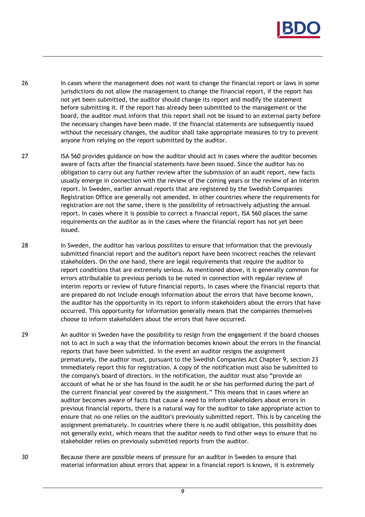

- 26 In cases where the management does not want to change the financial report or laws in some jurisdictions do not allow the management to change the financial report, if the report has not yet been submitted, the auditor should change its report and modify the statement before submitting it. If the report has already been submitted to the management or the board, the auditor must inform that this report shall not be issued to an external party before the necessary changes have been made. If the financial statements are subsequently issued without the necessary changes, the auditor shall take appropriate measures to try to prevent anyone from relying on the report submitted by the auditor.
- 27 ISA 560 provides guidance on how the auditor should act in cases where the auditor becomes aware of facts after the financial statements have been issued. Since the auditor has no obligation to carry out any further review after the submission of an audit report, new facts usually emerge in connection with the review of the coming years or the review of an interim report. In Sweden, earlier annual reports that are registered by the Swedish Companies Registration Office are generally not amended. In other countries where the requirements for registration are not the same, there is the possibility of retroactively adjusting the annual report. In cases where it is possible to correct a financial report, ISA 560 places the same requirements on the auditor as in the cases where the financial report has not yet been issued.
- 28 In Sweden, the auditor has various possilites to ensure that information that the previously submitted financial report and the auditor's report have been incorrect reaches the relevant stakeholders. On the one hand, there are legal requirements that require the auditor to report conditions that are extremely serious. As mentioned above, it is generally common for errors attributable to previous periods to be noted in connection with regular review of interim reports or review of future financial reports. In cases where the financial reports that are prepared do not include enough information about the errors that have become known, the auditor has the opportunity in its report to inform stakeholders about the errors that have occurred. This opportunity for information generally means that the companies themselves choose to inform stakeholders about the errors that have occurred.
- 29 An auditor in Sweden have the possibility to resign from the engagement if the board chooses not to act in such a way that the information becomes known about the errors in the financial reports that have been submitted. In the event an auditor resigns the assignment prematurely, the auditor must, pursuant to the Swedish Companies Act Chapter 9, section 23 immediately report this for registration. A copy of the notification must also be submitted to the company's board of directors. In the notification, the auditor must also "provide an account of what he or she has found in the audit he or she has performed during the part of the current financial year covered by the assignment." This means that in cases where an auditor becomes aware of facts that cause a need to inform stakeholders about errors in previous financial reports, there is a natural way for the auditor to take appropriate action to ensure that no one relies on the auditor's previously submitted report. This is by canceling the assignment prematurely. In countries where there is no audit obligation, this possibility does not generally exist, which means that the auditor needs to find other ways to ensure that no stakeholder relies on previously submitted reports from the auditor.
- 30 Because there are possible means of pressure for an auditor in Sweden to ensure that material information about errors that appear in a financial report is known, it is extremely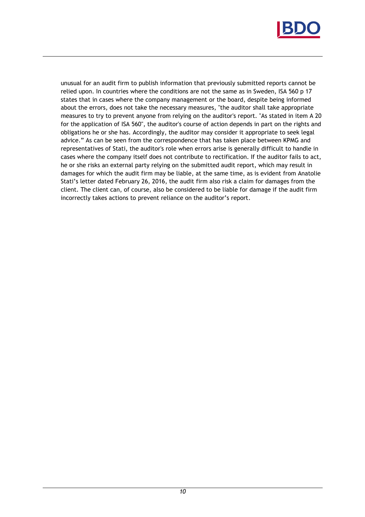

unusual for an audit firm to publish information that previously submitted reports cannot be relied upon. In countries where the conditions are not the same as in Sweden, ISA 560 p 17 states that in cases where the company management or the board, despite being informed about the errors, does not take the necessary measures, "the auditor shall take appropriate measures to try to prevent anyone from relying on the auditor's report. "As stated in item A 20 for the application of ISA 560", the auditor's course of action depends in part on the rights and obligations he or she has. Accordingly, the auditor may consider it appropriate to seek legal advice." As can be seen from the correspondence that has taken place between KPMG and representatives of Stati, the auditor's role when errors arise is generally difficult to handle in cases where the company itself does not contribute to rectification. If the auditor fails to act, he or she risks an external party relying on the submitted audit report, which may result in damages for which the audit firm may be liable, at the same time, as is evident from Anatolie Stati's letter dated February 26, 2016, the audit firm also risk a claim for damages from the client. The client can, of course, also be considered to be liable for damage if the audit firm incorrectly takes actions to prevent reliance on the auditor's report.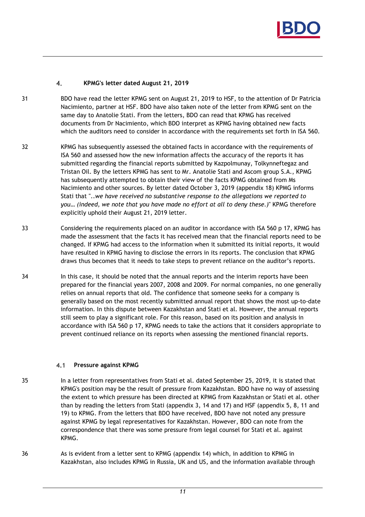

#### $\overline{4}$ . KPMG's letter dated August 21, 2019

- 31 BDO have read the letter KPMG sent on August 21, 2019 to HSF, to the attention of Dr Patricia Nacimiento, partner at HSF. BDO have also taken note of the letter from KPMG sent on the same day to Anatolie Stati. From the letters, BDO can read that KPMG has received documents from Dr Nacimiento, which BDO interpret as KPMG having obtained new facts which the auditors need to consider in accordance with the requirements set forth in ISA 560.
- 32 KPMG has subsequently assessed the obtained facts in accordance with the requirements of ISA 560 and assessed how the new information affects the accuracy of the reports it has submitted regarding the financial reports submitted by Kazpolmunay, Tolkynneftegaz and Tristan Oil. By the letters KPMG has sent to Mr. Anatolie Stati and Ascom group S.A., KPMG has subsequently attempted to obtain their view of the facts KPMG obtained from Ms Nacimiento and other sources. By letter dated October 3, 2019 (appendix 18) KPMG informs Stati that "..we have received no substantive response to the allegations we reported to you… (indeed, we note that you have made no effort at all to deny these.)" KPMG therefore explicitly uphold their August 21, 2019 letter.
- 33 Considering the requirements placed on an auditor in accordance with ISA 560 p 17, KPMG has made the assessment that the facts it has received mean that the financial reports need to be changed. If KPMG had access to the information when it submitted its initial reports, it would have resulted in KPMG having to disclose the errors in its reports. The conclusion that KPMG draws thus becomes that it needs to take steps to prevent reliance on the auditor's reports.
- 34 In this case, it should be noted that the annual reports and the interim reports have been prepared for the financial years 2007, 2008 and 2009. For normal companies, no one generally relies on annual reports that old. The confidence that someone seeks for a company is generally based on the most recently submitted annual report that shows the most up-to-date information. In this dispute between Kazakhstan and Stati et al. However, the annual reports still seem to play a significant role. For this reason, based on its position and analysis in accordance with ISA 560 p 17, KPMG needs to take the actions that it considers appropriate to prevent continued reliance on its reports when assessing the mentioned financial reports.

#### $4.1$ Pressure against KPMG

- 35 In a letter from representatives from Stati et al. dated September 25, 2019, it is stated that KPMG's position may be the result of pressure from Kazakhstan. BDO have no way of assessing the extent to which pressure has been directed at KPMG from Kazakhstan or Stati et al. other than by reading the letters from Stati (appendix 3, 14 and 17) and HSF (appendix 5, 8, 11 and 19) to KPMG. From the letters that BDO have received, BDO have not noted any pressure against KPMG by legal representatives for Kazakhstan. However, BDO can note from the correspondence that there was some pressure from legal counsel for Stati et al. against KPMG.
- 36 As is evident from a letter sent to KPMG (appendix 14) which, in addition to KPMG in Kazakhstan, also includes KPMG in Russia, UK and US, and the information available through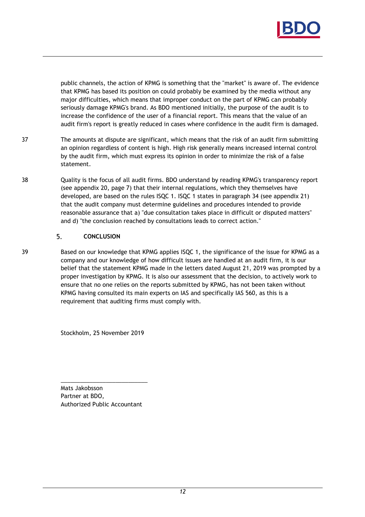

public channels, the action of KPMG is something that the "market" is aware of. The evidence that KPMG has based its position on could probably be examined by the media without any major difficulties, which means that improper conduct on the part of KPMG can probably seriously damage KPMG's brand. As BDO mentioned initially, the purpose of the audit is to increase the confidence of the user of a financial report. This means that the value of an audit firm's report is greatly reduced in cases where confidence in the audit firm is damaged.

- 37 The amounts at dispute are significant, which means that the risk of an audit firm submitting an opinion regardless of content is high. High risk generally means increased internal control by the audit firm, which must express its opinion in order to minimize the risk of a false statement.
- 38 Quality is the focus of all audit firms. BDO understand by reading KPMG's transparency report (see appendix 20, page 7) that their internal regulations, which they themselves have developed, are based on the rules ISQC 1. ISQC 1 states in paragraph 34 (see appendix 21) that the audit company must determine guidelines and procedures intended to provide reasonable assurance that a) "due consultation takes place in difficult or disputed matters" and d) "the conclusion reached by consultations leads to correct action."

#### 5. **CONCLUSION**

39 Based on our knowledge that KPMG applies ISQC 1, the significance of the issue for KPMG as a company and our knowledge of how difficult issues are handled at an audit firm, it is our belief that the statement KPMG made in the letters dated August 21, 2019 was prompted by a proper investigation by KPMG. It is also our assessment that the decision, to actively work to ensure that no one relies on the reports submitted by KPMG, has not been taken without KPMG having consulted its main experts on IAS and specifically IAS 560, as this is a requirement that auditing firms must comply with.

Stockholm, 25 November 2019

Mats Jakobsson Partner at BDO, Authorized Public Accountant

\_\_\_\_\_\_\_\_\_\_\_\_\_\_\_\_\_\_\_\_\_\_\_\_\_\_\_